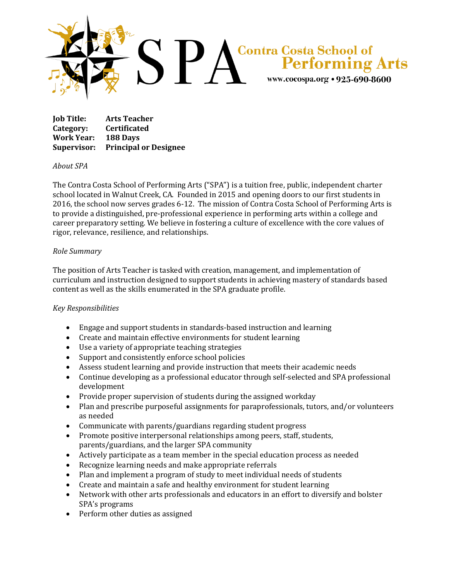

**Job Title: Arts Teacher Category: Certificated Work Year: 188 Days Supervisor: Principal or Designee**

## *About SPA*

The Contra Costa School of Performing Arts ("SPA") is a tuition free, public, independent charter school located in Walnut Creek, CA. Founded in 2015 and opening doors to our first students in 2016, the school now serves grades 6-12. The mission of Contra Costa School of Performing Arts is to provide a distinguished, pre-professional experience in performing arts within a college and career preparatory setting. We believe in fostering a culture of excellence with the core values of rigor, relevance, resilience, and relationships.

## *Role Summary*

The position of Arts Teacher is tasked with creation, management, and implementation of curriculum and instruction designed to support students in achieving mastery of standards based content as well as the skills enumerated in the SPA graduate profile.

## *Key Responsibilities*

- Engage and support students in standards-based instruction and learning
- Create and maintain effective environments for student learning
- Use a variety of appropriate teaching strategies
- Support and consistently enforce school policies
- Assess student learning and provide instruction that meets their academic needs
- Continue developing as a professional educator through self-selected and SPA professional development
- Provide proper supervision of students during the assigned workday
- Plan and prescribe purposeful assignments for paraprofessionals, tutors, and/or volunteers as needed
- Communicate with parents/guardians regarding student progress
- Promote positive interpersonal relationships among peers, staff, students, parents/guardians, and the larger SPA community
- Actively participate as a team member in the special education process as needed
- Recognize learning needs and make appropriate referrals
- Plan and implement a program of study to meet individual needs of students
- Create and maintain a safe and healthy environment for student learning
- Network with other arts professionals and educators in an effort to diversify and bolster SPA's programs
- Perform other duties as assigned